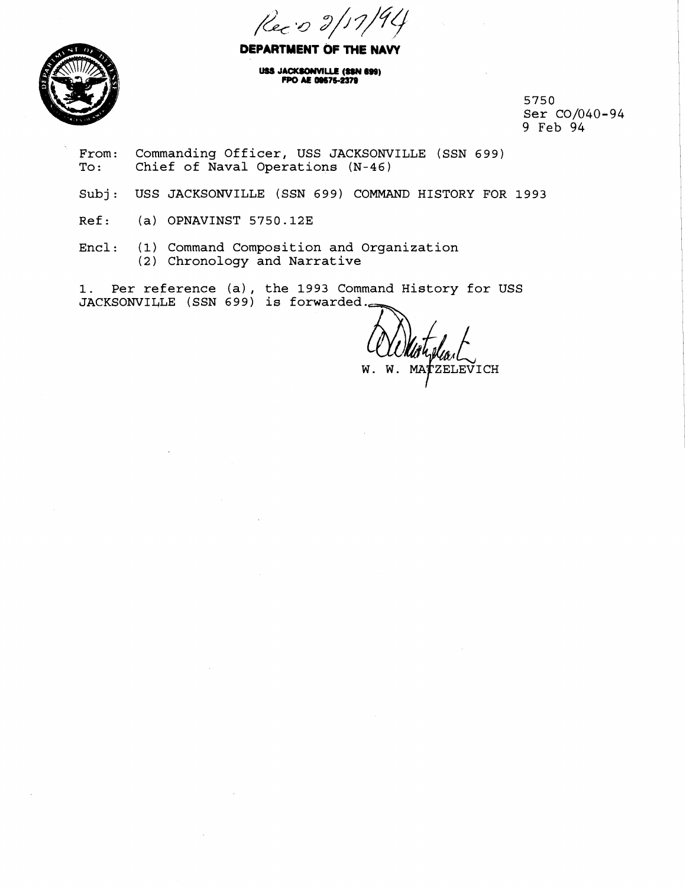Rec: 0 2/17



**DEPARTMENT OF THE NAVY** 

USS JACKSONVILLE (SSN 699) FPO AE 09575-2379

> **5750 Ser C0/040-94 9 Feb 94** <sup>I</sup>

- From: Commanding Officer, USS JACKSONVILLE (SSN 699)<br>To: Chief of Naval Operations (N-46) Chief of Naval Operations (N-46)
- Subj: USS JACKSONVILLE (SSN 699) COMMAND HISTORY FOR 1993
- **Ref: (a) OPNAVINST 5750.123** <sup>I</sup>
- **Encl: (1) Command Composition and Organization**  (2) **Chronology and Narrative**

**1. Per reference (a), the 1993 Command History for USS** 

ZELEVICH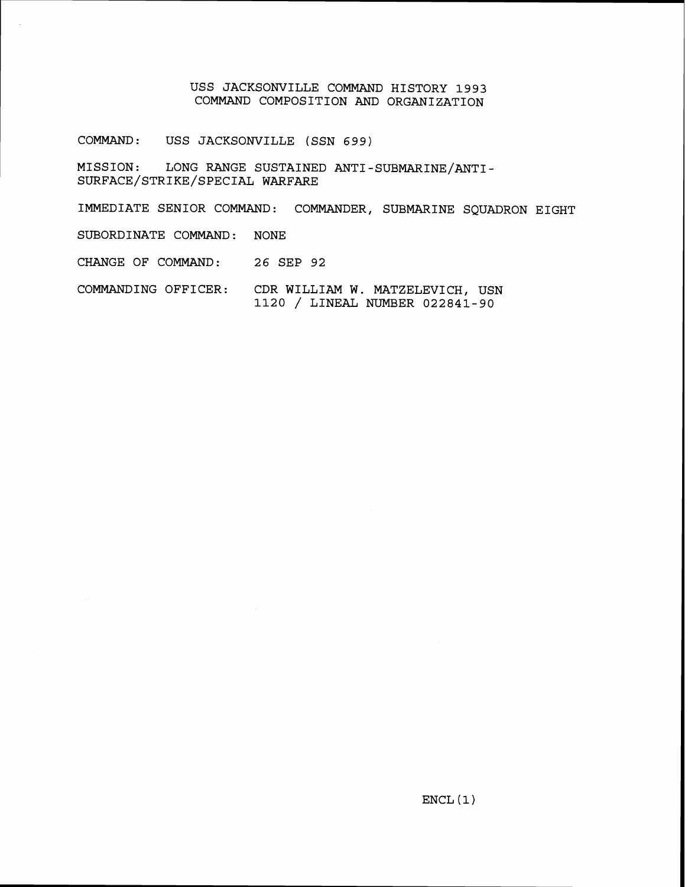## **USS JACKSONVILLE COMMAND HISTORY 1993 COMMAND COMPOSITION AND ORGANIZATION**

**COMMAND: USS JACKSONVILLE (SSN 699)** 

**MISSION: LONG RANGE SUSTAINED ANTI-SUBMARINE/ANTI-SURFACE/STRIKE/SPECIAL WARFARE** 

**IMMEDIATE SENIOR COMMAND: COMMANDER, SUBMARINE SQUADRON EIGHT SUBORDINATE COMMAND: NONE CHANGE OF COMMAND: 26 SEP 92** 

**COMMANDING OFFICER: CDR WILLIAM W. MATZELEVICH, USN <sup>1120</sup>**/ **LINEAL NUMBER 022841-90**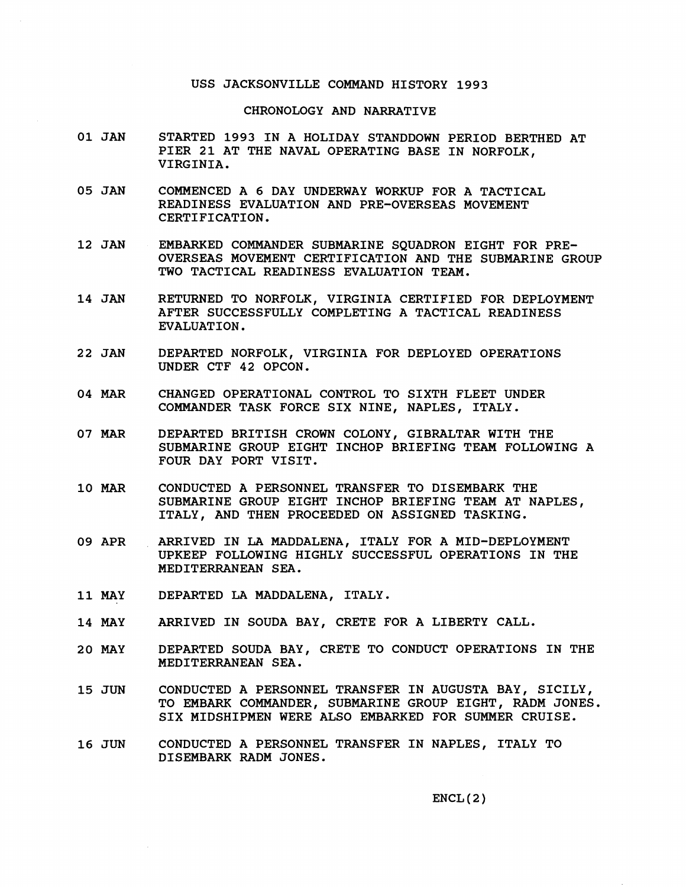## USS JACKSONVILLE COMMAND HISTORY **1993**

## CHRONOLOGY AND NARRATIVE

- **01** JAN STARTED **1993** IN A HOLIDAY STANDDOWN PERIOD BERTHED AT PIER **21** AT THE NAVAL OPERATING BASE IN NORFOLK, VIRGINIA.
- **05** JAN COMMENCED A **6** DAY UNDERWAY WORKUP FOR A TACTICAL READINESS EVALUATION AND PRE-OVERSEAS MOVEMENT CERTIFICATION.
- **12** JAN EMBARKED COMMANDER SUBMARINE SQUADRON EIGHT FOR PRE-OVERSEAS MOVEMENT CERTIFICATION AND THE SUBMARINE GROUP TWO TACTICAL READINESS EVALUATION TEAM.
- **14 JAN**  RETURNED TO NORFOLK, VIRGINIA CERTIFIED FOR DEPLOYMENT AFTER SUCCESSFULLY COMPLETING A TACTICAL READINESS EVALUATION.
- **2 2 JAN**  DEPARTED NORFOLK, VIRGINIA FOR DEPLOYED OPERATIONS UNDER CTF **42** OPCON.
- **04** MAR CHANGED OPERATIONAL CONTROL TO SIXTH FLEET UNDER COMMANDER TASK FORCE SIX NINE, NAPLES, ITALY.
- **07 MAR**  DEPARTED BRITISH CROWN COLONY, GIBRALTAR WITH THE SUBMARINE GROUP EIGHT INCHOP BRIEFING TEAM FOLLOWING A FOUR DAY PORT VISIT.
- **10** MAR CONDUCTED A PERSONNEL TRANSFER TO DISEMBARK THE SUBMARINE GROUP EIGHT INCHOP BRIEFING TEAM AT NAPLES, ITALY, AND THEN PROCEEDED ON ASSIGNED TASKING.
- **09** APR ARRIVED IN LA MADDALENA, ITALY FOR A MID-DEPLOYMENT UPKEEP FOLLOWING HIGHLY SUCCESSFUL OPERATIONS IN THE MEDITERRANEAN SEA.
- **11** MAY DEPARTED LA MADDALENA, ITALY.
- **14** MAY ARRIVED IN SOUDA BAY, CRETE FOR A LIBERTY CALL.
- **20** MAY DEPARTED SOUDA BAY, CRETE TO CONDUCT OPERATIONS IN THE MEDITERRANEAN SEA.
- **15** JUN CONDUCTED A PERSONNEL TRANSFER IN AUGUSTA BAY, SICILY, TO EMBARK COMMANDER, SUBMARINE GROUP EIGHT, RADM JONES. SIX MIDSHIPMEN WERE ALSO EMBARKED FOR SUMMER CRUISE.
- **16** JUN CONDUCTED A PERSONNEL TRANSFER IN NAPLES, ITALY TO DISEMBARK RADM JONES.

ENCL **(2** )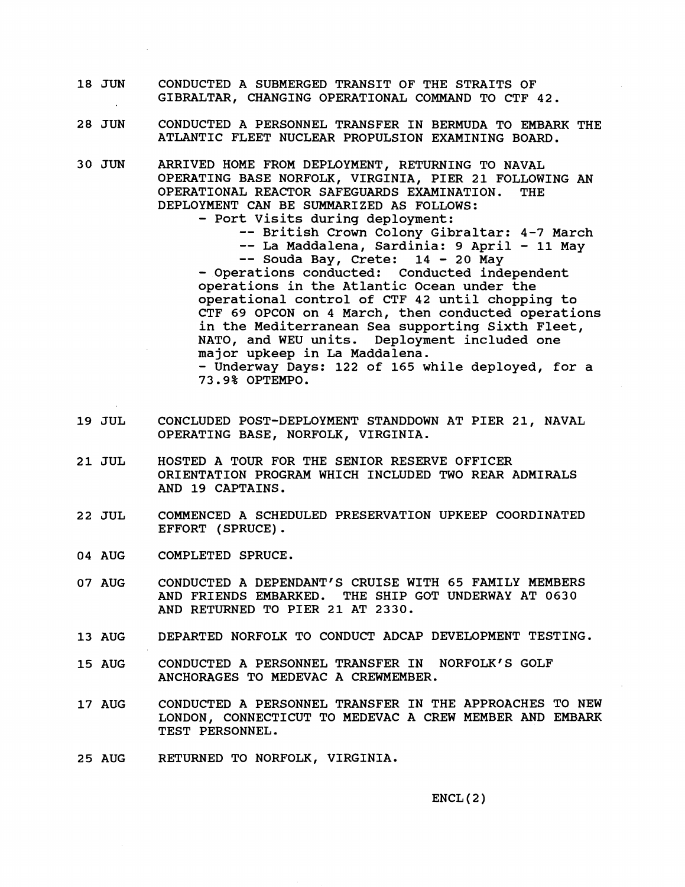- **18** JUN CONDUCTED A SUBMERGED TRANSIT OF THE STRAITS OF GIBRALTAR, CHANGING OPERATIONAL COMMAND TO CTF **42.**
- **28** JUN CONDUCTED A PERSONNEL TRANSFER IN BERMUDA TO EMBARK THE ATLANTIC FLEET NUCLEAR PROPULSION EXAMINING BOARD.
- **30 JUN**  ARRIVED HOME FROM DEPLOYMENT, RETURNING TO NAVAL OPERATING BASE NORFOLK, VIRGINIA, PIER **21** FOLLOWING AN OPERATIONAL REACTOR SAFEGUARDS EXAMINATION. THE DEPLOYMENT CAN BE SUMMARIZED AS FOLLOWS:
	- Port Visits during deployment: -- British Crown Colony Gibraltar: **4-7** March -- La Maddalena, Sardinia: 9 April - **11** May -- Souda Bay, Crete: **14** - **20** May - Operations conducted: Conducted independent operations in the Atlantic Ocean under the operational control of CTF **42** until chopping to CTF **69** OPCON on **4** March, then conducted operations in the Mediterranean Sea supporting Sixth Fleet, NATO, and WEU units. Deployment included one major upkeep in La Maddalena. - Underway Days: **122** of **165** while deployed, for a **73.9%** OPTEMPO.
- **19** JUL CONCLUDED POST-DEPLOYMENT STANDDOWN AT PIER **21,** NAVAL OPERATING BASE, NORFOLK, VIRGINIA.
- **2 1** JUL HOSTED A TOUR FOR THE SENIOR RESERVE OFFICER ORIENTATION PROGRAM WHICH INCLUDED TWO REAR ADMIRALS AND **19** CAPTAINS.
- **22** JUL COMMENCED A SCHEDULED PRESERVATION UPKEEP COORDINATED EFFORT (SPRUCE) .
- **04** AUG COMPLETED SPRUCE.
- **07** AUG CONDUCTED A DEPENDANT'S CRUISE WITH **65** FAMILY MEMBERS AND FRIENDS EMBARKED. THE SHIP GOT UNDERWAY AT **0630**  AND RETURNED TO PIER **21** AT **2330.**
- **13** AUG DEPARTED NORFOLK TO CONDUCT ADCAP DEVELOPMENT TESTING.
- **15** AUG CONDUCTED A PERSONNEL TRANSFER IN NORFOLK'S GOLF ANCHORAGES TO MEDEVAC A CREWMEMBER.
- **17** AUG CONDUCTED A PERSONNEL TRANSFER IN THE APPROACHES TO NEW LONDON, CONNECTICUT TO MEDEVAC A CREW MEMBER AND EMBARK TEST PERSONNEL.
- 25 AUG RETURNED TO NORFOLK, VIRGINIA.